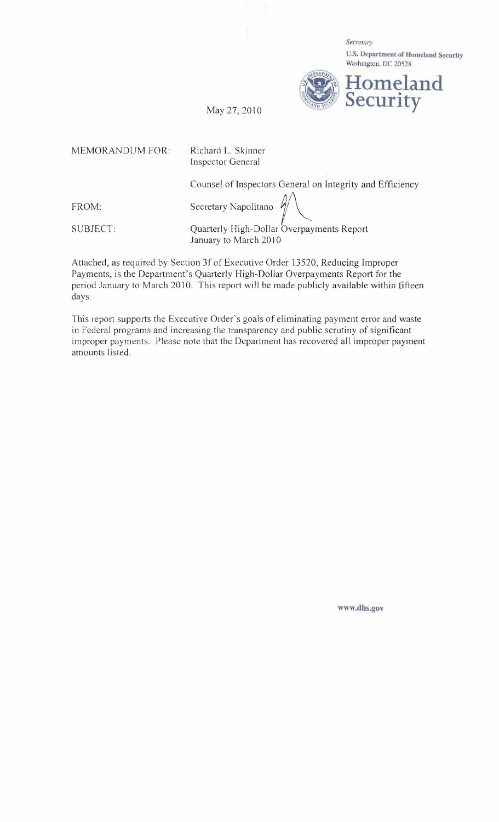Secretary U.S. **Department** of Homeland **Security** 



MEMORANDUM FOR: Richard L. Skinner

Inspector General

Counsel of Inspectors General on Integrity and Efficiency

FROM: Secretary Napolitano

SUBJECT: Quarterly High-Dollar Overpayments Report January to March 2010

Attached, as required by Section 3f of Executive Order 13520, Reducing Improper Payments, is the Department's Quarterly High-Dollar Overpayments Report for the period January to March 2010. This report will be made publicly available within fifteen days.

This report supports the Executive Order's goals of eliminating payment error and waste in Federal programs and increasing the transparency and public scrutiny of significant improper payments. Please note that the Department has recovered all improper payment amounts listed.